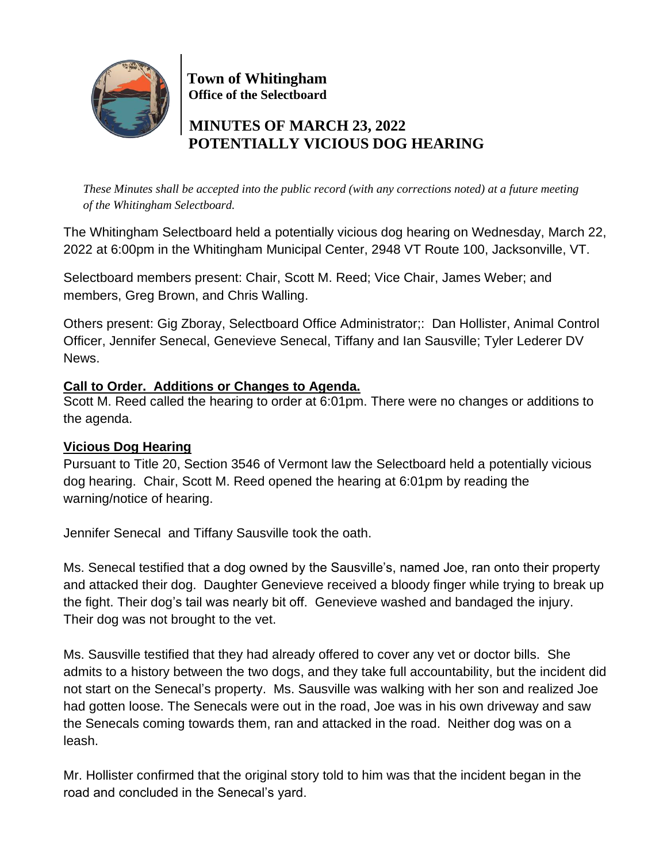

 **Town of Whitingham Office of the Selectboard**

# **MINUTES OF MARCH 23, 2022 POTENTIALLY VICIOUS DOG HEARING**

*These Minutes shall be accepted into the public record (with any corrections noted) at a future meeting of the Whitingham Selectboard.*

The Whitingham Selectboard held a potentially vicious dog hearing on Wednesday, March 22, 2022 at 6:00pm in the Whitingham Municipal Center, 2948 VT Route 100, Jacksonville, VT.

Selectboard members present: Chair, Scott M. Reed; Vice Chair, James Weber; and members, Greg Brown, and Chris Walling.

Others present: Gig Zboray, Selectboard Office Administrator;: Dan Hollister, Animal Control Officer, Jennifer Senecal, Genevieve Senecal, Tiffany and Ian Sausville; Tyler Lederer DV News.

## **Call to Order. Additions or Changes to Agenda.**

Scott M. Reed called the hearing to order at 6:01pm. There were no changes or additions to the agenda.

#### **Vicious Dog Hearing**

Pursuant to Title 20, Section 3546 of Vermont law the Selectboard held a potentially vicious dog hearing. Chair, Scott M. Reed opened the hearing at 6:01pm by reading the warning/notice of hearing.

Jennifer Senecal and Tiffany Sausville took the oath.

Ms. Senecal testified that a dog owned by the Sausville's, named Joe, ran onto their property and attacked their dog. Daughter Genevieve received a bloody finger while trying to break up the fight. Their dog's tail was nearly bit off. Genevieve washed and bandaged the injury. Their dog was not brought to the vet.

Ms. Sausville testified that they had already offered to cover any vet or doctor bills. She admits to a history between the two dogs, and they take full accountability, but the incident did not start on the Senecal's property. Ms. Sausville was walking with her son and realized Joe had gotten loose. The Senecals were out in the road, Joe was in his own driveway and saw the Senecals coming towards them, ran and attacked in the road. Neither dog was on a leash.

Mr. Hollister confirmed that the original story told to him was that the incident began in the road and concluded in the Senecal's yard.